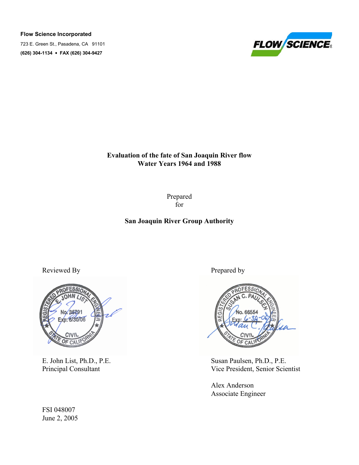Flow Science Incorporated

723 E. Green St., Pasadena, CA 91101 (626) 304-1134 FAX (626) 304-9427



Evaluation of the fate of San Joaquin River flow Water Years 1964 and 1988

> Prepared for

# San Joaquin River Group Authority

Reviewed By Prepared by



FSI 048007 June 2, 2005



E. John List, Ph.D., P.E.<br>
Principal Consultant<br>
Susan Paulsen, Ph.D., P.E.<br>
Vice President, Senior Scie Vice President, Senior Scientist

 Alex Anderson Associate Engineer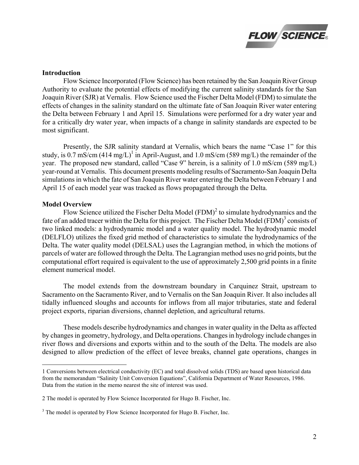

### Introduction

 Flow Science Incorporated (Flow Science) has been retained by the San Joaquin River Group Authority to evaluate the potential effects of modifying the current salinity standards for the San Joaquin River (SJR) at Vernalis. Flow Science used the Fischer Delta Model (FDM) to simulate the effects of changes in the salinity standard on the ultimate fate of San Joaquin River water entering the Delta between February 1 and April 15. Simulations were performed for a dry water year and for a critically dry water year, when impacts of a change in salinity standards are expected to be most significant.

Presently, the SJR salinity standard at Vernalis, which bears the name "Case 1" for this study, is 0.7 mS/cm  $(414 \text{ mg/L})^1$  in April-August, and 1.0 mS/cm (589 mg/L) the remainder of the year. The proposed new standard, called "Case 9" herein, is a salinity of 1.0 mS/cm (589 mg/L) year-round at Vernalis. This document presents modeling results of Sacramento-San Joaquin Delta simulations in which the fate of San Joaquin River water entering the Delta between February 1 and April 15 of each model year was tracked as flows propagated through the Delta.

## Model Overview

-

Flow Science utilized the Fischer Delta Model  $(FDM)^2$  to simulate hydrodynamics and the fate of an added tracer within the Delta for this project. The Fischer Delta Model (FDM)<sup>3</sup> consists of two linked models: a hydrodynamic model and a water quality model. The hydrodynamic model (DELFLO) utilizes the fixed grid method of characteristics to simulate the hydrodynamics of the Delta. The water quality model (DELSAL) uses the Lagrangian method, in which the motions of parcels of water are followed through the Delta. The Lagrangian method uses no grid points, but the computational effort required is equivalent to the use of approximately 2,500 grid points in a finite element numerical model.

The model extends from the downstream boundary in Carquinez Strait, upstream to Sacramento on the Sacramento River, and to Vernalis on the San Joaquin River. It also includes all tidally influenced sloughs and accounts for inflows from all major tributaries, state and federal project exports, riparian diversions, channel depletion, and agricultural returns.

These models describe hydrodynamics and changes in water quality in the Delta as affected by changes in geometry, hydrology, and Delta operations. Changes in hydrology include changes in river flows and diversions and exports within and to the south of the Delta. The models are also designed to allow prediction of the effect of levee breaks, channel gate operations, changes in

<sup>1</sup> Conversions between electrical conductivity (EC) and total dissolved solids (TDS) are based upon historical data from the memorandum "Salinity Unit Conversion Equations", California Department of Water Resources, 1986. Data from the station in the memo nearest the site of interest was used.

<sup>2</sup> The model is operated by Flow Science Incorporated for Hugo B. Fischer, Inc.

<sup>&</sup>lt;sup>3</sup> The model is operated by Flow Science Incorporated for Hugo B. Fischer, Inc.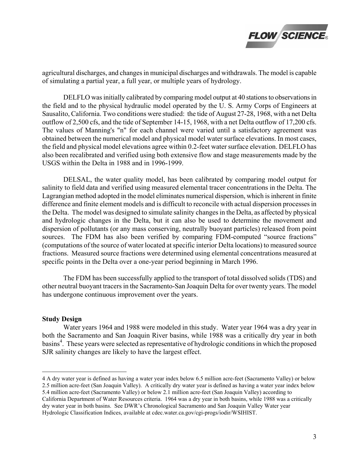

agricultural discharges, and changes in municipal discharges and withdrawals. The model is capable of simulating a partial year, a full year, or multiple years of hydrology.

 DELFLO was initially calibrated by comparing model output at 40 stations to observations in the field and to the physical hydraulic model operated by the U. S. Army Corps of Engineers at Sausalito, California. Two conditions were studied: the tide of August 27-28, 1968, with a net Delta outflow of 2,500 cfs, and the tide of September 14-15, 1968, with a net Delta outflow of 17,200 cfs. The values of Manning's "n" for each channel were varied until a satisfactory agreement was obtained between the numerical model and physical model water surface elevations. In most cases, the field and physical model elevations agree within 0.2-feet water surface elevation. DELFLO has also been recalibrated and verified using both extensive flow and stage measurements made by the USGS within the Delta in 1988 and in 1996-1999.

 DELSAL, the water quality model, has been calibrated by comparing model output for salinity to field data and verified using measured elemental tracer concentrations in the Delta. The Lagrangian method adopted in the model eliminates numerical dispersion, which is inherent in finite difference and finite element models and is difficult to reconcile with actual dispersion processes in the Delta. The model was designed to simulate salinity changes in the Delta, as affected by physical and hydrologic changes in the Delta, but it can also be used to determine the movement and dispersion of pollutants (or any mass conserving, neutrally buoyant particles) released from point sources. The FDM has also been verified by comparing FDM-computed "source fractions" (computations of the source of water located at specific interior Delta locations) to measured source fractions. Measured source fractions were determined using elemental concentrations measured at specific points in the Delta over a one-year period beginning in March 1996.

 The FDM has been successfully applied to the transport of total dissolved solids (TDS) and other neutral buoyant tracers in the Sacramento-San Joaquin Delta for over twenty years. The model has undergone continuous improvement over the years.

### Study Design

 Water years 1964 and 1988 were modeled in this study. Water year 1964 was a dry year in both the Sacramento and San Joaquin River basins, while 1988 was a critically dry year in both basins<sup>4</sup>. These years were selected as representative of hydrologic conditions in which the proposed SJR salinity changes are likely to have the largest effect.

<sup>-</sup>4 A dry water year is defined as having a water year index below 6.5 million acre-feet (Sacramento Valley) or below 2.5 million acre-feet (San Joaquin Valley). A critically dry water year is defined as having a water year index below 5.4 million acre-feet (Sacramento Valley) or below 2.1 million acre-feet (San Joaquin Valley) according to California Department of Water Resources criteria. 1964 was a dry year in both basins, while 1988 was a critically dry water year in both basins. See DWR's Chronological Sacramento and San Joaquin Valley Water year Hydrologic Classification Indices, available at cdec.water.ca.gov/cgi-progs/iodir/WSIHIST.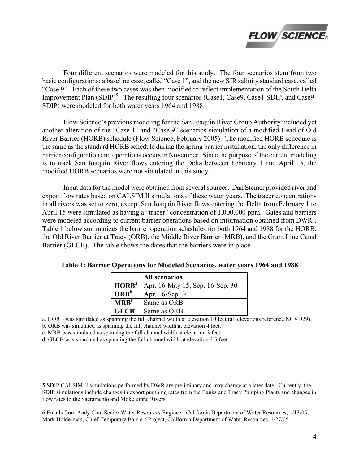

 Four different scenarios were modeled for this study. The four scenarios stem from two basic configurations: a baseline case, called "Case 1", and the new SJR salinity standard case, called "Case 9". Each of these two cases was then modified to reflect implementation of the South Delta Improvement Plan (SDIP)<sup>5</sup>. The resulting four scenarios (Case1, Case9, Case1-SDIP, and Case9-SDIP) were modeled for both water years 1964 and 1988.

 Flow Science's previous modeling for the San Joaquin River Group Authority included yet another alteration of the "Case 1" and "Case 9" scenarios-simulation of a modified Head of Old River Barrier (HORB) schedule (Flow Science, February 2005). The modified HORB schedule is the same as the standard HORB schedule during the spring barrier installation; the only difference in barrier configuration and operations occurs in November. Since the purpose of the current modeling is to track San Joaquin River flows entering the Delta between February 1 and April 15, the modified HORB scenarios were not simulated in this study.

 Input data for the model were obtained from several sources. Dan Steiner provided river and export flow rates based on CALSIM II simulations of these water years. The tracer concentrations in all rivers was set to zero, except San Joaquin River flows entering the Delta from February 1 to April 15 were simulated as having a "tracer" concentration of 1,000,000 ppm. Gates and barriers were modeled according to current barrier operations based on information obtained from DWR<sup>6</sup>. Table 1 below summarizes the barrier operation schedules for both 1964 and 1988 for the HORB, the Old River Barrier at Tracy (ORB), the Middle River Barrier (MRB), and the Grant Line Canal Barrier (GLCB). The table shows the dates that the barriers were in place.

|                   | <b>All scenarios</b>            |
|-------------------|---------------------------------|
| HORB <sup>a</sup> | Apr. 16-May 15, Sep. 16-Sep. 30 |
| ORB <sup>b</sup>  | Apr. 16-Sep. 30                 |
| MRB <sup>c</sup>  | Same as ORB                     |
| GLCB <sup>d</sup> | Same as ORB                     |

Table 1: Barrier Operations for Modeled Scenarios, water years 1964 and 1988

a. HORB was simulated as spanning the full channel width at elevation 10 feet (all elevations reference NGVD29).

b. ORB was simulated as spanning the full channel width at elevation 4 feet.

c. MRB was simulated as spanning the full channel width at elevation 3 feet.

-

d. GLCB was simulated as spanning the full channel width at elevation 3.5 feet.

<sup>5</sup> SDIP CALSIM II simulations performed by DWR are preliminary and may change at a later date. Currently, the SDIP simulations include changes in export pumping rates from the Banks and Tracy Pumping Plants and changes in flow rates to the Sacramento and Mokelumne Rivers.

<sup>6</sup> Emails from Andy Chu, Senior Water Resources Engineer, California Department of Water Resources, 1/13/05; Mark Holderman, Chief-Temporary Barriers Project, California Department of Water Resources, 1/27/05.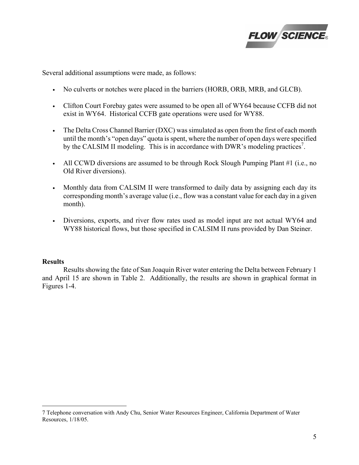

Several additional assumptions were made, as follows:

- No culverts or notches were placed in the barriers (HORB, ORB, MRB, and GLCB).
- Clifton Court Forebay gates were assumed to be open all of WY64 because CCFB did not exist in WY64. Historical CCFB gate operations were used for WY88.
- The Delta Cross Channel Barrier (DXC) was simulated as open from the first of each month until the month's "open days" quota is spent, where the number of open days were specified by the CALSIM II modeling. This is in accordance with DWR's modeling practices<sup>7</sup>.
- All CCWD diversions are assumed to be through Rock Slough Pumping Plant #1 (i.e., no Old River diversions).
- Monthly data from CALSIM II were transformed to daily data by assigning each day its corresponding month's average value (i.e., flow was a constant value for each day in a given month).
- Diversions, exports, and river flow rates used as model input are not actual WY64 and WY88 historical flows, but those specified in CALSIM II runs provided by Dan Steiner.

# **Results**

<u>.</u>

 Results showing the fate of San Joaquin River water entering the Delta between February 1 and April 15 are shown in Table 2. Additionally, the results are shown in graphical format in Figures 1-4.

<sup>7</sup> Telephone conversation with Andy Chu, Senior Water Resources Engineer, California Department of Water Resources, 1/18/05.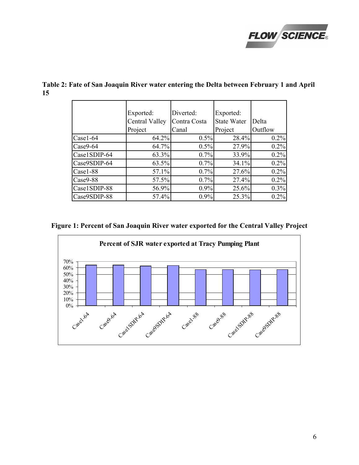

|              | Exported:      | Diverted:    | Exported:          |         |
|--------------|----------------|--------------|--------------------|---------|
|              | Central Valley | Contra Costa | <b>State Water</b> | Delta   |
|              | Project        | Canal        | Project            | Outflow |
| Case1-64     | 64.2%          | 0.5%         | 28.4%              | 0.2%    |
| Case9-64     | 64.7%          | 0.5%         | 27.9%              | 0.2%    |
| Case1SDIP-64 | 63.3%          | 0.7%         | 33.9%              | 0.2%    |
| Case9SDIP-64 | 63.5%          | 0.7%         | 34.1%              | 0.2%    |
| Case1-88     | 57.1%          | 0.7%         | 27.6%              | 0.2%    |
| Case9-88     | 57.5%          | 0.7%         | 27.4%              | 0.2%    |
| Case1SDIP-88 | 56.9%          | 0.9%         | 25.6%              | 0.3%    |
| Case9SDIP-88 | 57.4%          | 0.9%         | 25.3%              | 0.2%    |

Table 2: Fate of San Joaquin River water entering the Delta between February 1 and April 15

Figure 1: Percent of San Joaquin River water exported for the Central Valley Project

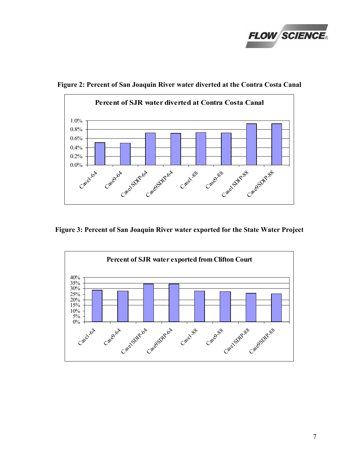



Figure 2: Percent of San Joaquin River water diverted at the Contra Costa Canal

Figure 3: Percent of San Joaquin River water exported for the State Water Project